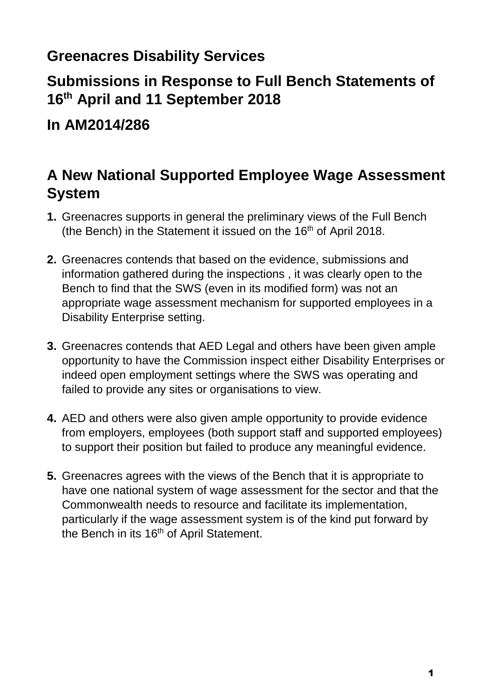## **Greenacres Disability Services**

## **Submissions in Response to Full Bench Statements of 16th April and 11 September 2018**

**In AM2014/286**

## **A New National Supported Employee Wage Assessment System**

- **1.** Greenacres supports in general the preliminary views of the Full Bench (the Bench) in the Statement it issued on the  $16<sup>th</sup>$  of April 2018.
- **2.** Greenacres contends that based on the evidence, submissions and information gathered during the inspections , it was clearly open to the Bench to find that the SWS (even in its modified form) was not an appropriate wage assessment mechanism for supported employees in a Disability Enterprise setting.
- **3.** Greenacres contends that AED Legal and others have been given ample opportunity to have the Commission inspect either Disability Enterprises or indeed open employment settings where the SWS was operating and failed to provide any sites or organisations to view.
- **4.** AED and others were also given ample opportunity to provide evidence from employers, employees (both support staff and supported employees) to support their position but failed to produce any meaningful evidence.
- **5.** Greenacres agrees with the views of the Bench that it is appropriate to have one national system of wage assessment for the sector and that the Commonwealth needs to resource and facilitate its implementation, particularly if the wage assessment system is of the kind put forward by the Bench in its 16<sup>th</sup> of April Statement.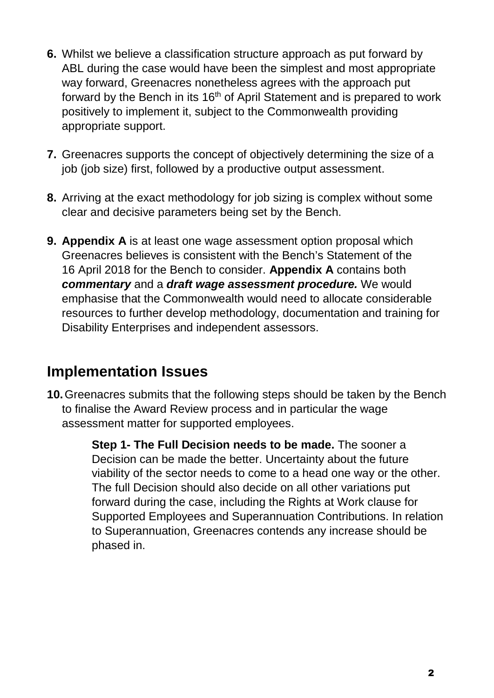- **6.** Whilst we believe a classification structure approach as put forward by ABL during the case would have been the simplest and most appropriate way forward, Greenacres nonetheless agrees with the approach put forward by the Bench in its 16<sup>th</sup> of April Statement and is prepared to work positively to implement it, subject to the Commonwealth providing appropriate support.
- **7.** Greenacres supports the concept of objectively determining the size of a job (job size) first, followed by a productive output assessment.
- **8.** Arriving at the exact methodology for job sizing is complex without some clear and decisive parameters being set by the Bench.
- **9. Appendix A** is at least one wage assessment option proposal which Greenacres believes is consistent with the Bench's Statement of the 16 April 2018 for the Bench to consider. **Appendix A** contains both *commentary* and a *draft wage assessment procedure.* We would emphasise that the Commonwealth would need to allocate considerable resources to further develop methodology, documentation and training for Disability Enterprises and independent assessors.

### **Implementation Issues**

**10.**Greenacres submits that the following steps should be taken by the Bench to finalise the Award Review process and in particular the wage assessment matter for supported employees.

> **Step 1- The Full Decision needs to be made.** The sooner a Decision can be made the better. Uncertainty about the future viability of the sector needs to come to a head one way or the other. The full Decision should also decide on all other variations put forward during the case, including the Rights at Work clause for Supported Employees and Superannuation Contributions. In relation to Superannuation, Greenacres contends any increase should be phased in.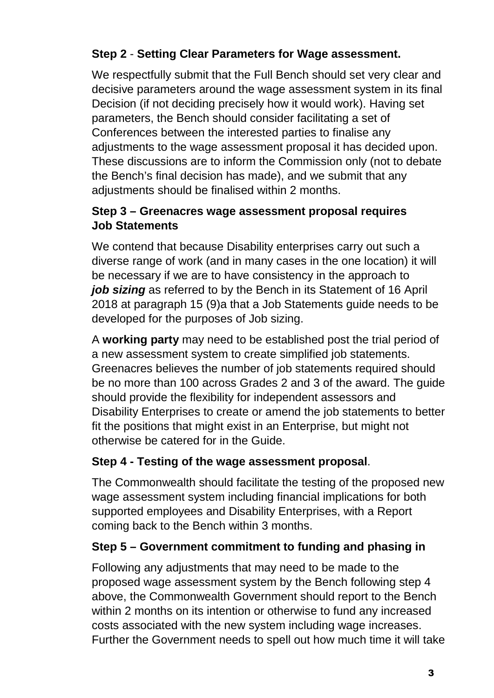### **Step 2** - **Setting Clear Parameters for Wage assessment.**

We respectfully submit that the Full Bench should set very clear and decisive parameters around the wage assessment system in its final Decision (if not deciding precisely how it would work). Having set parameters, the Bench should consider facilitating a set of Conferences between the interested parties to finalise any adjustments to the wage assessment proposal it has decided upon. These discussions are to inform the Commission only (not to debate the Bench's final decision has made), and we submit that any adjustments should be finalised within 2 months.

#### **Step 3 – Greenacres wage assessment proposal requires Job Statements**

We contend that because Disability enterprises carry out such a diverse range of work (and in many cases in the one location) it will be necessary if we are to have consistency in the approach to *job sizing* as referred to by the Bench in its Statement of 16 April 2018 at paragraph 15 (9)a that a Job Statements guide needs to be developed for the purposes of Job sizing.

A **working party** may need to be established post the trial period of a new assessment system to create simplified job statements. Greenacres believes the number of job statements required should be no more than 100 across Grades 2 and 3 of the award. The guide should provide the flexibility for independent assessors and Disability Enterprises to create or amend the job statements to better fit the positions that might exist in an Enterprise, but might not otherwise be catered for in the Guide.

### **Step 4 - Testing of the wage assessment proposal**.

The Commonwealth should facilitate the testing of the proposed new wage assessment system including financial implications for both supported employees and Disability Enterprises, with a Report coming back to the Bench within 3 months.

### **Step 5 – Government commitment to funding and phasing in**

Following any adjustments that may need to be made to the proposed wage assessment system by the Bench following step 4 above, the Commonwealth Government should report to the Bench within 2 months on its intention or otherwise to fund any increased costs associated with the new system including wage increases. Further the Government needs to spell out how much time it will take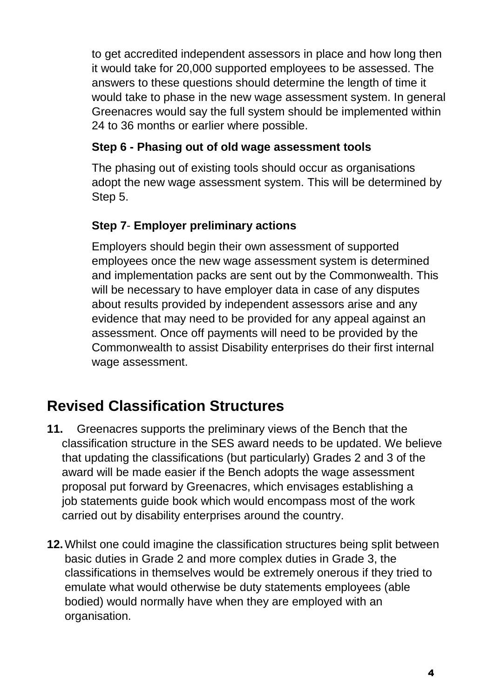to get accredited independent assessors in place and how long then it would take for 20,000 supported employees to be assessed. The answers to these questions should determine the length of time it would take to phase in the new wage assessment system. In general Greenacres would say the full system should be implemented within 24 to 36 months or earlier where possible.

#### **Step 6 - Phasing out of old wage assessment tools**

The phasing out of existing tools should occur as organisations adopt the new wage assessment system. This will be determined by Step 5.

### **Step 7**- **Employer preliminary actions**

Employers should begin their own assessment of supported employees once the new wage assessment system is determined and implementation packs are sent out by the Commonwealth. This will be necessary to have employer data in case of any disputes about results provided by independent assessors arise and any evidence that may need to be provided for any appeal against an assessment. Once off payments will need to be provided by the Commonwealth to assist Disability enterprises do their first internal wage assessment.

## **Revised Classification Structures**

- **11.** Greenacres supports the preliminary views of the Bench that the classification structure in the SES award needs to be updated. We believe that updating the classifications (but particularly) Grades 2 and 3 of the award will be made easier if the Bench adopts the wage assessment proposal put forward by Greenacres, which envisages establishing a job statements guide book which would encompass most of the work carried out by disability enterprises around the country.
- **12.**Whilst one could imagine the classification structures being split between basic duties in Grade 2 and more complex duties in Grade 3, the classifications in themselves would be extremely onerous if they tried to emulate what would otherwise be duty statements employees (able bodied) would normally have when they are employed with an organisation.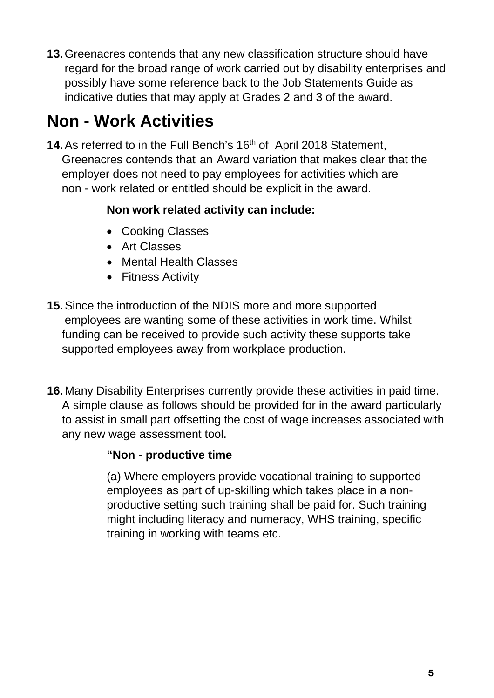**13.**Greenacres contends that any new classification structure should have regard for the broad range of work carried out by disability enterprises and possibly have some reference back to the Job Statements Guide as indicative duties that may apply at Grades 2 and 3 of the award.

# **Non - Work Activities**

**14.** As referred to in the Full Bench's 16<sup>th</sup> of April 2018 Statement, Greenacres contends that an Award variation that makes clear that the employer does not need to pay employees for activities which are non - work related or entitled should be explicit in the award.

#### **Non work related activity can include:**

- Cooking Classes
- Art Classes
- Mental Health Classes
- Fitness Activity
- **15.**Since the introduction of the NDIS more and more supported employees are wanting some of these activities in work time. Whilst funding can be received to provide such activity these supports take supported employees away from workplace production.
- **16.**Many Disability Enterprises currently provide these activities in paid time. A simple clause as follows should be provided for in the award particularly to assist in small part offsetting the cost of wage increases associated with any new wage assessment tool.

#### **"Non - productive time**

(a) Where employers provide vocational training to supported employees as part of up-skilling which takes place in a nonproductive setting such training shall be paid for. Such training might including literacy and numeracy, WHS training, specific training in working with teams etc.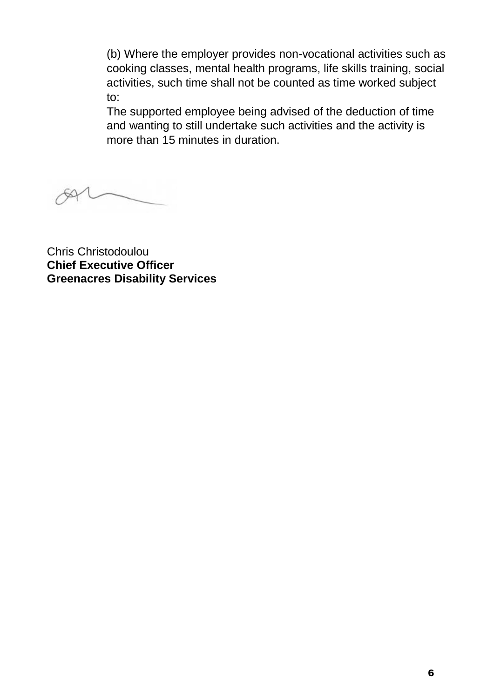(b) Where the employer provides non-vocational activities such as cooking classes, mental health programs, life skills training, social activities, such time shall not be counted as time worked subject to:

The supported employee being advised of the deduction of time and wanting to still undertake such activities and the activity is more than 15 minutes in duration.

Chris Christodoulou **Chief Executive Officer Greenacres Disability Services**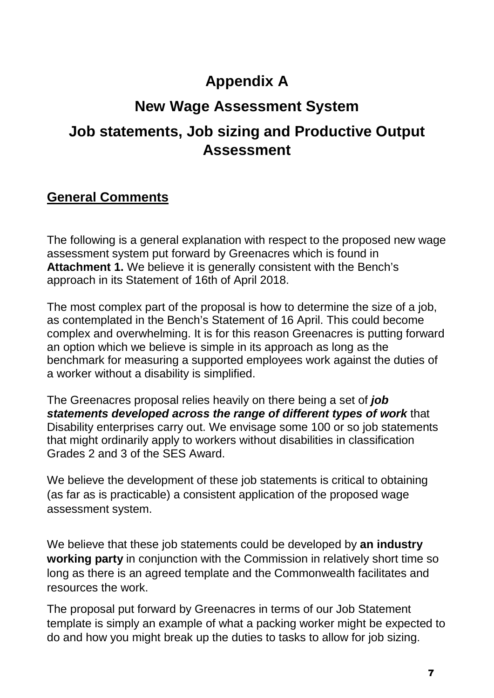## **Appendix A**

## **New Wage Assessment System**

### **Job statements, Job sizing and Productive Output Assessment**

### **General Comments**

The following is a general explanation with respect to the proposed new wage assessment system put forward by Greenacres which is found in **Attachment 1.** We believe it is generally consistent with the Bench's approach in its Statement of 16th of April 2018.

The most complex part of the proposal is how to determine the size of a job, as contemplated in the Bench's Statement of 16 April. This could become complex and overwhelming. It is for this reason Greenacres is putting forward an option which we believe is simple in its approach as long as the benchmark for measuring a supported employees work against the duties of a worker without a disability is simplified.

The Greenacres proposal relies heavily on there being a set of *job statements developed across the range of different types of work* that Disability enterprises carry out. We envisage some 100 or so job statements that might ordinarily apply to workers without disabilities in classification Grades 2 and 3 of the SES Award.

We believe the development of these job statements is critical to obtaining (as far as is practicable) a consistent application of the proposed wage assessment system.

We believe that these job statements could be developed by **an industry working party** in conjunction with the Commission in relatively short time so long as there is an agreed template and the Commonwealth facilitates and resources the work.

The proposal put forward by Greenacres in terms of our Job Statement template is simply an example of what a packing worker might be expected to do and how you might break up the duties to tasks to allow for job sizing.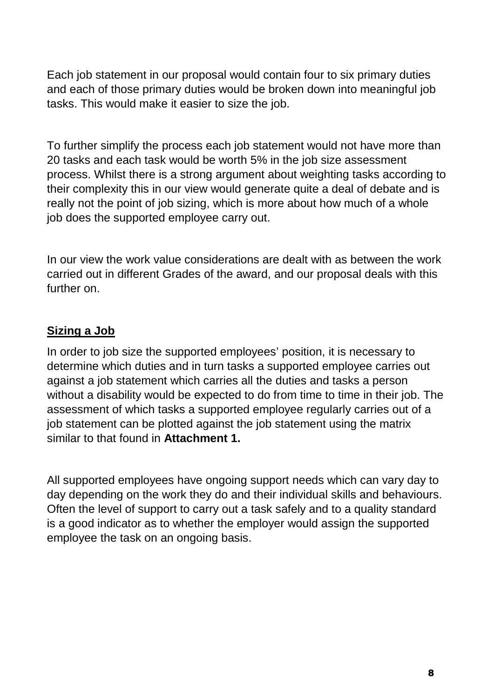Each job statement in our proposal would contain four to six primary duties and each of those primary duties would be broken down into meaningful job tasks. This would make it easier to size the job.

To further simplify the process each job statement would not have more than 20 tasks and each task would be worth 5% in the job size assessment process. Whilst there is a strong argument about weighting tasks according to their complexity this in our view would generate quite a deal of debate and is really not the point of job sizing, which is more about how much of a whole job does the supported employee carry out.

In our view the work value considerations are dealt with as between the work carried out in different Grades of the award, and our proposal deals with this further on.

#### **Sizing a Job**

In order to job size the supported employees' position, it is necessary to determine which duties and in turn tasks a supported employee carries out against a job statement which carries all the duties and tasks a person without a disability would be expected to do from time to time in their job. The assessment of which tasks a supported employee regularly carries out of a job statement can be plotted against the job statement using the matrix similar to that found in **Attachment 1.** 

All supported employees have ongoing support needs which can vary day to day depending on the work they do and their individual skills and behaviours. Often the level of support to carry out a task safely and to a quality standard is a good indicator as to whether the employer would assign the supported employee the task on an ongoing basis.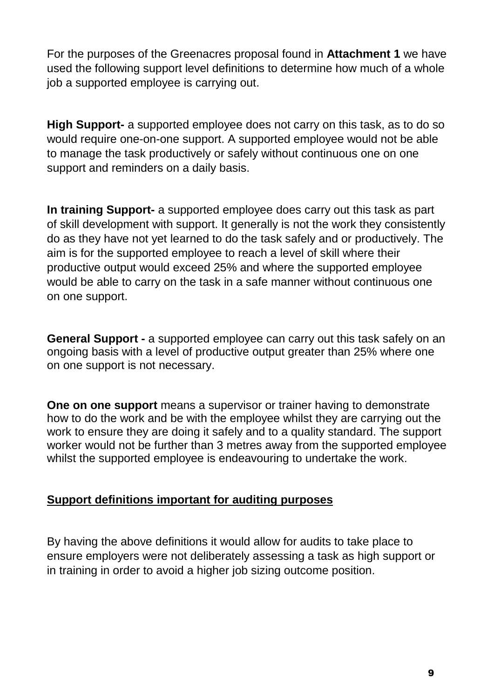For the purposes of the Greenacres proposal found in **Attachment 1** we have used the following support level definitions to determine how much of a whole job a supported employee is carrying out.

**High Support-** a supported employee does not carry on this task, as to do so would require one-on-one support. A supported employee would not be able to manage the task productively or safely without continuous one on one support and reminders on a daily basis.

**In training Support-** a supported employee does carry out this task as part of skill development with support. It generally is not the work they consistently do as they have not yet learned to do the task safely and or productively. The aim is for the supported employee to reach a level of skill where their productive output would exceed 25% and where the supported employee would be able to carry on the task in a safe manner without continuous one on one support.

**General Support -** a supported employee can carry out this task safely on an ongoing basis with a level of productive output greater than 25% where one on one support is not necessary.

**One on one support** means a supervisor or trainer having to demonstrate how to do the work and be with the employee whilst they are carrying out the work to ensure they are doing it safely and to a quality standard. The support worker would not be further than 3 metres away from the supported employee whilst the supported employee is endeavouring to undertake the work.

#### **Support definitions important for auditing purposes**

By having the above definitions it would allow for audits to take place to ensure employers were not deliberately assessing a task as high support or in training in order to avoid a higher job sizing outcome position.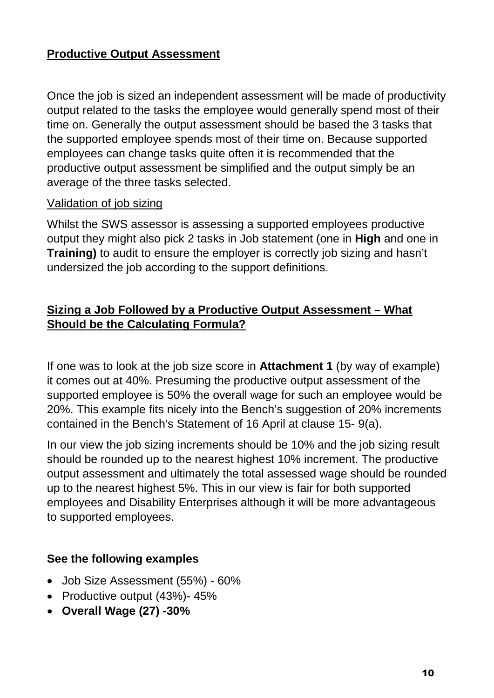#### **Productive Output Assessment**

Once the job is sized an independent assessment will be made of productivity output related to the tasks the employee would generally spend most of their time on. Generally the output assessment should be based the 3 tasks that the supported employee spends most of their time on. Because supported employees can change tasks quite often it is recommended that the productive output assessment be simplified and the output simply be an average of the three tasks selected.

#### Validation of job sizing

Whilst the SWS assessor is assessing a supported employees productive output they might also pick 2 tasks in Job statement (one in **High** and one in **Training)** to audit to ensure the employer is correctly job sizing and hasn't undersized the job according to the support definitions.

#### **Sizing a Job Followed by a Productive Output Assessment – What Should be the Calculating Formula?**

If one was to look at the job size score in **Attachment 1** (by way of example) it comes out at 40%. Presuming the productive output assessment of the supported employee is 50% the overall wage for such an employee would be 20%. This example fits nicely into the Bench's suggestion of 20% increments contained in the Bench's Statement of 16 April at clause 15- 9(a).

In our view the job sizing increments should be 10% and the job sizing result should be rounded up to the nearest highest 10% increment. The productive output assessment and ultimately the total assessed wage should be rounded up to the nearest highest 5%. This in our view is fair for both supported employees and Disability Enterprises although it will be more advantageous to supported employees.

#### **See the following examples**

- Job Size Assessment (55%) 60%
- Productive output (43%)- 45%
- **Overall Wage (27) -30%**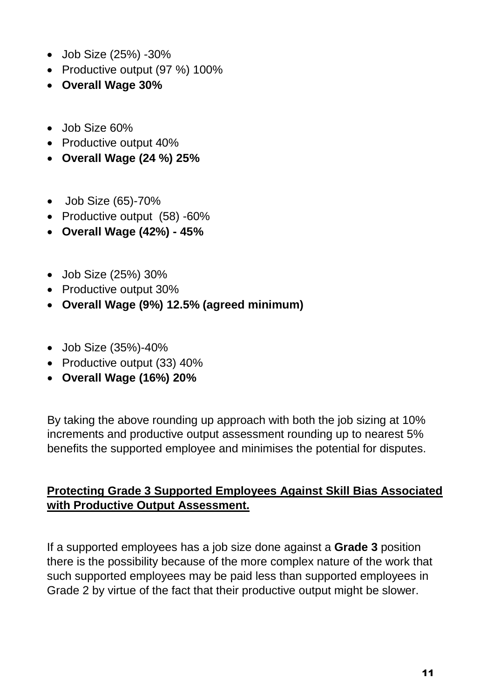- Job Size (25%) -30%
- Productive output (97 %) 100%
- **Overall Wage 30%**
- Job Size 60%
- Productive output 40%
- **Overall Wage (24 %) 25%**
- Job Size (65)-70%
- Productive output (58) -60%
- **Overall Wage (42%) 45%**
- Job Size (25%) 30%
- Productive output 30%
- **Overall Wage (9%) 12.5% (agreed minimum)**
- Job Size (35%)-40%
- Productive output (33) 40%
- **Overall Wage (16%) 20%**

By taking the above rounding up approach with both the job sizing at 10% increments and productive output assessment rounding up to nearest 5% benefits the supported employee and minimises the potential for disputes.

#### **Protecting Grade 3 Supported Employees Against Skill Bias Associated with Productive Output Assessment.**

If a supported employees has a job size done against a **Grade 3** position there is the possibility because of the more complex nature of the work that such supported employees may be paid less than supported employees in Grade 2 by virtue of the fact that their productive output might be slower.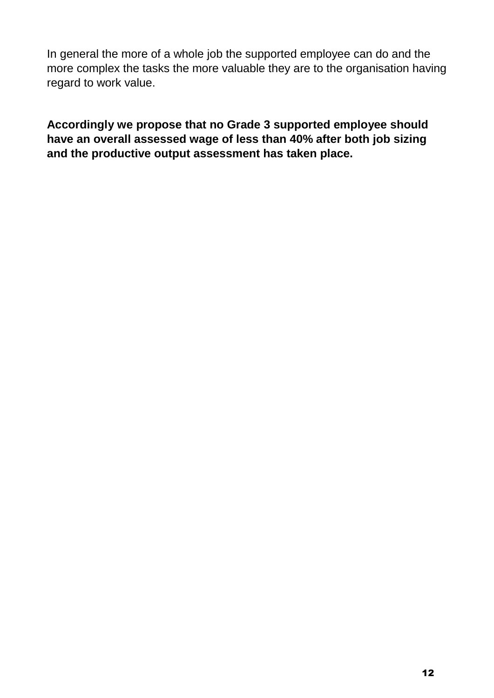In general the more of a whole job the supported employee can do and the more complex the tasks the more valuable they are to the organisation having regard to work value.

**Accordingly we propose that no Grade 3 supported employee should have an overall assessed wage of less than 40% after both job sizing and the productive output assessment has taken place.**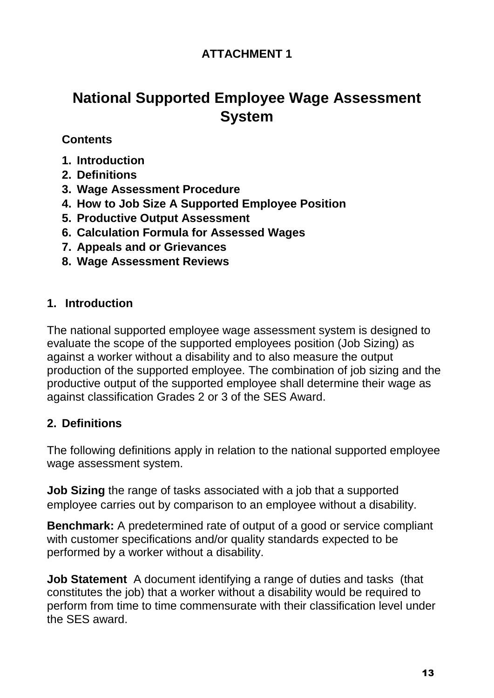### **ATTACHMENT 1**

## **National Supported Employee Wage Assessment System**

#### **Contents**

- **1. Introduction**
- **2. Definitions**
- **3. Wage Assessment Procedure**
- **4. How to Job Size A Supported Employee Position**
- **5. Productive Output Assessment**
- **6. Calculation Formula for Assessed Wages**
- **7. Appeals and or Grievances**
- **8. Wage Assessment Reviews**

#### **1. Introduction**

The national supported employee wage assessment system is designed to evaluate the scope of the supported employees position (Job Sizing) as against a worker without a disability and to also measure the output production of the supported employee. The combination of job sizing and the productive output of the supported employee shall determine their wage as against classification Grades 2 or 3 of the SES Award.

#### **2. Definitions**

The following definitions apply in relation to the national supported employee wage assessment system.

**Job Sizing** the range of tasks associated with a job that a supported employee carries out by comparison to an employee without a disability.

**Benchmark:** A predetermined rate of output of a good or service compliant with customer specifications and/or quality standards expected to be performed by a worker without a disability.

**Job Statement** A document identifying a range of duties and tasks (that constitutes the job) that a worker without a disability would be required to perform from time to time commensurate with their classification level under the SES award.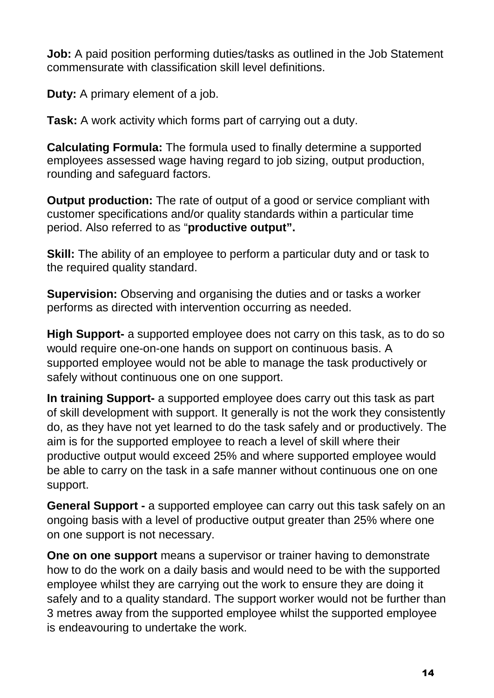**Job:** A paid position performing duties/tasks as outlined in the Job Statement commensurate with classification skill level definitions.

**Duty:** A primary element of a job.

**Task:** A work activity which forms part of carrying out a duty.

**Calculating Formula:** The formula used to finally determine a supported employees assessed wage having regard to job sizing, output production, rounding and safeguard factors.

**Output production:** The rate of output of a good or service compliant with customer specifications and/or quality standards within a particular time period. Also referred to as "**productive output".**

**Skill:** The ability of an employee to perform a particular duty and or task to the required quality standard.

**Supervision:** Observing and organising the duties and or tasks a worker performs as directed with intervention occurring as needed.

**High Support-** a supported employee does not carry on this task, as to do so would require one-on-one hands on support on continuous basis. A supported employee would not be able to manage the task productively or safely without continuous one on one support.

**In training Support-** a supported employee does carry out this task as part of skill development with support. It generally is not the work they consistently do, as they have not yet learned to do the task safely and or productively. The aim is for the supported employee to reach a level of skill where their productive output would exceed 25% and where supported employee would be able to carry on the task in a safe manner without continuous one on one support.

**General Support -** a supported employee can carry out this task safely on an ongoing basis with a level of productive output greater than 25% where one on one support is not necessary.

**One on one support** means a supervisor or trainer having to demonstrate how to do the work on a daily basis and would need to be with the supported employee whilst they are carrying out the work to ensure they are doing it safely and to a quality standard. The support worker would not be further than 3 metres away from the supported employee whilst the supported employee is endeavouring to undertake the work.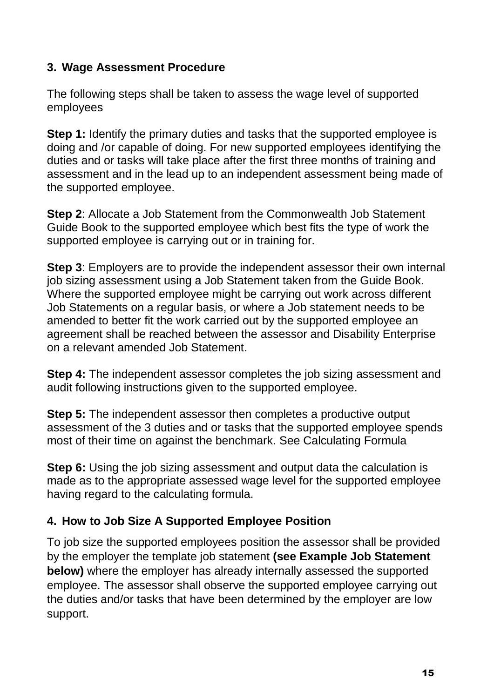#### **3. Wage Assessment Procedure**

The following steps shall be taken to assess the wage level of supported employees

**Step 1:** Identify the primary duties and tasks that the supported employee is doing and /or capable of doing. For new supported employees identifying the duties and or tasks will take place after the first three months of training and assessment and in the lead up to an independent assessment being made of the supported employee.

**Step 2**: Allocate a Job Statement from the Commonwealth Job Statement Guide Book to the supported employee which best fits the type of work the supported employee is carrying out or in training for.

**Step 3**: Employers are to provide the independent assessor their own internal job sizing assessment using a Job Statement taken from the Guide Book. Where the supported employee might be carrying out work across different Job Statements on a regular basis, or where a Job statement needs to be amended to better fit the work carried out by the supported employee an agreement shall be reached between the assessor and Disability Enterprise on a relevant amended Job Statement.

**Step 4:** The independent assessor completes the job sizing assessment and audit following instructions given to the supported employee.

**Step 5:** The independent assessor then completes a productive output assessment of the 3 duties and or tasks that the supported employee spends most of their time on against the benchmark. See Calculating Formula

**Step 6:** Using the job sizing assessment and output data the calculation is made as to the appropriate assessed wage level for the supported employee having regard to the calculating formula.

#### **4. How to Job Size A Supported Employee Position**

To job size the supported employees position the assessor shall be provided by the employer the template job statement **(see Example Job Statement below)** where the employer has already internally assessed the supported employee. The assessor shall observe the supported employee carrying out the duties and/or tasks that have been determined by the employer are low support.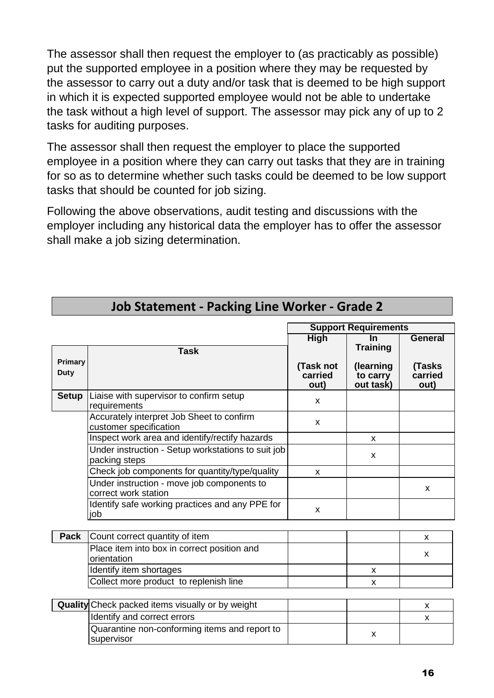The assessor shall then request the employer to (as practicably as possible) put the supported employee in a position where they may be requested by the assessor to carry out a duty and/or task that is deemed to be high support in which it is expected supported employee would not be able to undertake the task without a high level of support. The assessor may pick any of up to 2 tasks for auditing purposes.

The assessor shall then request the employer to place the supported employee in a position where they can carry out tasks that they are in training for so as to determine whether such tasks could be deemed to be low support tasks that should be counted for job sizing.

Following the above observations, audit testing and discussions with the employer including any historical data the employer has to offer the assessor shall make a job sizing determination.

|                                                         |                                                                     | <b>Support Requirements</b>  |                                    |                           |
|---------------------------------------------------------|---------------------------------------------------------------------|------------------------------|------------------------------------|---------------------------|
|                                                         |                                                                     | <b>High</b>                  | <b>In</b><br><b>Training</b>       | <b>General</b>            |
| Primary<br><b>Duty</b>                                  | <b>Task</b>                                                         | (Task not<br>carried<br>out) | (learning<br>to carry<br>out task) | (Tasks<br>carried<br>out) |
| <b>Setup</b>                                            | Liaise with supervisor to confirm setup<br>requirements             | $\boldsymbol{\mathsf{x}}$    |                                    |                           |
|                                                         | Accurately interpret Job Sheet to confirm<br>customer specification | X                            |                                    |                           |
|                                                         | Inspect work area and identify/rectify hazards                      |                              | X                                  |                           |
|                                                         | Under instruction - Setup workstations to suit job<br>packing steps |                              | X                                  |                           |
|                                                         | Check job components for quantity/type/quality                      | X                            |                                    |                           |
|                                                         | Under instruction - move job components to<br>correct work station  |                              |                                    | X                         |
|                                                         | Identify safe working practices and any PPE for<br>job              | X                            |                                    |                           |
| Pack                                                    | Count correct quantity of item                                      |                              |                                    | X                         |
|                                                         | Place item into box in correct position and<br>orientation          |                              |                                    | X                         |
|                                                         | Identify item shortages                                             |                              | X                                  |                           |
|                                                         | Collect more product to replenish line                              |                              | X                                  |                           |
| <b>Quality</b> Check packed items visually or by weight |                                                                     |                              |                                    | X                         |
|                                                         | Identify and correct errors                                         |                              |                                    | $\boldsymbol{\mathsf{x}}$ |
|                                                         | Quarantine non-conforming items and report to<br>supervisor         |                              | X                                  |                           |

### **Job Statement - Packing Line Worker - Grade 2**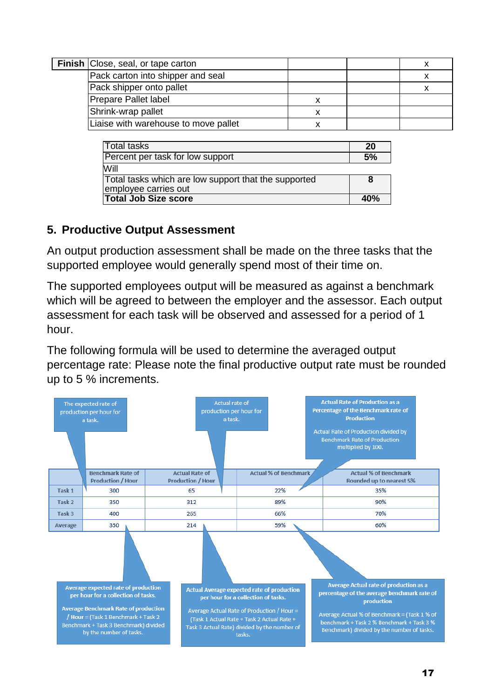|                          | <b>Finish Close, seal, or tape carton</b> |  |  |
|--------------------------|-------------------------------------------|--|--|
|                          | Pack carton into shipper and seal         |  |  |
| Pack shipper onto pallet |                                           |  |  |
|                          | <b>Prepare Pallet label</b>               |  |  |
|                          | Shrink-wrap pallet                        |  |  |
|                          | Liaise with warehouse to move pallet      |  |  |

| <b>Total tasks</b>                                                           | 20 |  |
|------------------------------------------------------------------------------|----|--|
| Percent per task for low support                                             |    |  |
| Will                                                                         |    |  |
| Total tasks which are low support that the supported<br>employee carries out |    |  |
| <b>Total Job Size score</b>                                                  |    |  |

#### **5. Productive Output Assessment**

An output production assessment shall be made on the three tasks that the supported employee would generally spend most of their time on.

The supported employees output will be measured as against a benchmark which will be agreed to between the employer and the assessor. Each output assessment for each task will be observed and assessed for a period of 1 hour.

The following formula will be used to determine the averaged output percentage rate: Please note the final productive output rate must be rounded up to 5 % increments.

|                                                                                                                                                                                                                                             | The expected rate of<br>production per hour for<br>a task. | Actual rate of<br>production per hour for<br>a task. |                                                                                                                                                                                                                                                | <b>Actual Rate of Production as a</b><br>Percentage of the Benchmark rate of<br><b>Production</b><br>Actual Rate of Production divided by<br><b>Benchmark Rate of Production</b><br>multiplied by 100.                                         |  |  |
|---------------------------------------------------------------------------------------------------------------------------------------------------------------------------------------------------------------------------------------------|------------------------------------------------------------|------------------------------------------------------|------------------------------------------------------------------------------------------------------------------------------------------------------------------------------------------------------------------------------------------------|------------------------------------------------------------------------------------------------------------------------------------------------------------------------------------------------------------------------------------------------|--|--|
|                                                                                                                                                                                                                                             | <b>Benchmark Rate of</b><br><b>Production / Hour</b>       | <b>Actual Rate of</b><br><b>Production / Hour</b>    | <b>Actual % of Benchmark</b>                                                                                                                                                                                                                   | <b>Actual % of Benchmark</b><br>Rounded up to nearest 5%                                                                                                                                                                                       |  |  |
| Task <sub>1</sub>                                                                                                                                                                                                                           | 300                                                        | 65                                                   | 22%                                                                                                                                                                                                                                            | 35%                                                                                                                                                                                                                                            |  |  |
| Task 2                                                                                                                                                                                                                                      | 350                                                        | 312                                                  | 89%                                                                                                                                                                                                                                            | 90%                                                                                                                                                                                                                                            |  |  |
| Task 3                                                                                                                                                                                                                                      | 400                                                        | 265                                                  | 66%                                                                                                                                                                                                                                            | 70%                                                                                                                                                                                                                                            |  |  |
| Average                                                                                                                                                                                                                                     | 350                                                        | 214                                                  | 59%                                                                                                                                                                                                                                            | 60%                                                                                                                                                                                                                                            |  |  |
|                                                                                                                                                                                                                                             |                                                            |                                                      |                                                                                                                                                                                                                                                |                                                                                                                                                                                                                                                |  |  |
| <b>Average expected rate of production</b><br>per hour for a collection of tasks.<br><b>Average Benchmark Rate of production</b><br>/ Hour = (Task 1 Benchmark + Task 2<br>Benchmark + Task 3 Benchmark) divided<br>by the number of tasks. |                                                            |                                                      | <b>Actual Average expected rate of production</b><br>per hour for a collection of tasks.<br>Average Actual Rate of Production / Hour =<br>(Task 1 Actual Rate + Task 2 Actual Rate +<br>Task 3 Actual Rate) divided by the number of<br>tasks. | Average Actual rate of production as a<br>percentage of the average benchmark rate of<br>production<br>Average Actual % of Benchmark = (Task 1 % of<br>benchmark + Task 2 % Benchmark + Task 3 %<br>Benchmark) divided by the number of tasks. |  |  |